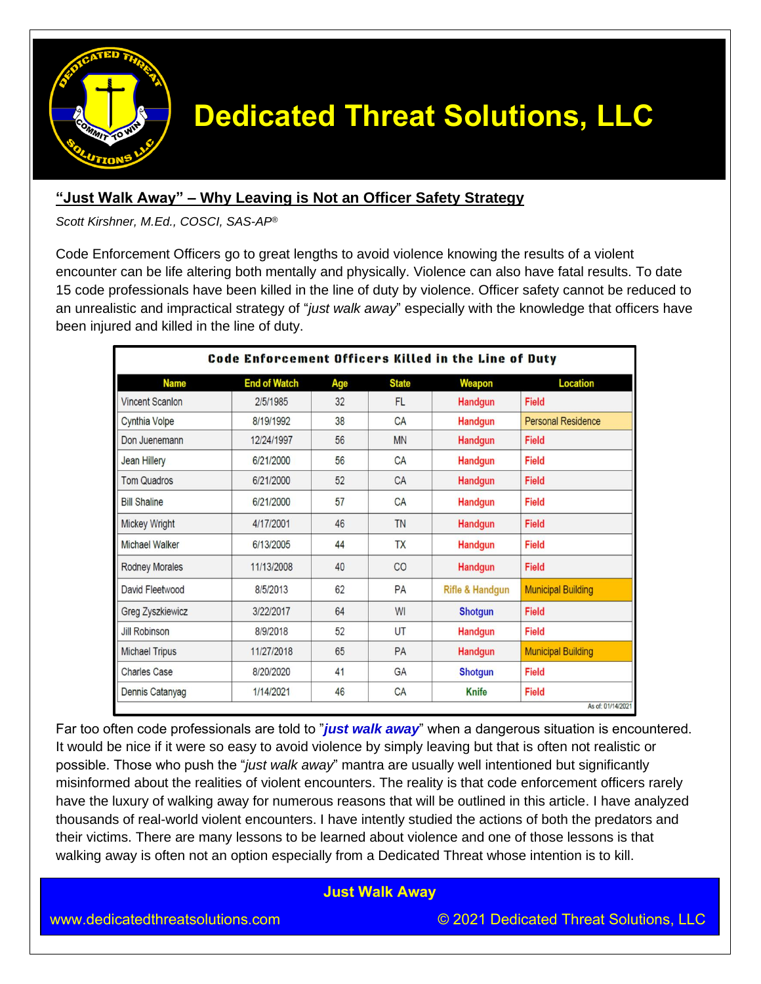

### **"Just Walk Away" – Why Leaving is Not an Officer Safety Strategy**

*Scott Kirshner, M.Ed., COSCI, SAS-AP®*

Code Enforcement Officers go to great lengths to avoid violence knowing the results of a violent encounter can be life altering both mentally and physically. Violence can also have fatal results. To date 15 code professionals have been killed in the line of duty by violence. Officer safety cannot be reduced to an unrealistic and impractical strategy of "*just walk away*" especially with the knowledge that officers have been injured and killed in the line of duty.

| Code Enforcement Officers Killed in the Line of Duty |                     |     |              |                            |                           |  |
|------------------------------------------------------|---------------------|-----|--------------|----------------------------|---------------------------|--|
| <b>Name</b>                                          | <b>End of Watch</b> | Age | <b>State</b> | Weapon                     | <b>Location</b>           |  |
| <b>Vincent Scanlon</b>                               | 2/5/1985            | 32  | <b>FL</b>    | <b>Handgun</b>             | <b>Field</b>              |  |
| <b>Cynthia Volpe</b>                                 | 8/19/1992           | 38  | CA           | <b>Handqun</b>             | <b>Personal Residence</b> |  |
| Don Juenemann                                        | 12/24/1997          | 56  | <b>MN</b>    | <b>Handgun</b>             | Field                     |  |
| <b>Jean Hillery</b>                                  | 6/21/2000           | 56  | CA           | Handgun                    | <b>Field</b>              |  |
| <b>Tom Quadros</b>                                   | 6/21/2000           | 52  | CA           | <b>Handgun</b>             | <b>Field</b>              |  |
| <b>Bill Shaline</b>                                  | 6/21/2000           | 57  | CA           | <b>Handgun</b>             | Field                     |  |
| <b>Mickey Wright</b>                                 | 4/17/2001           | 46  | <b>TN</b>    | <b>Handgun</b>             | Field                     |  |
| <b>Michael Walker</b>                                | 6/13/2005           | 44  | <b>TX</b>    | <b>Handgun</b>             | <b>Field</b>              |  |
| <b>Rodney Morales</b>                                | 11/13/2008          | 40  | CO           | <b>Handgun</b>             | Field                     |  |
| David Fleetwood                                      | 8/5/2013            | 62  | PA           | <b>Rifle &amp; Handgun</b> | <b>Municipal Building</b> |  |
| <b>Greg Zyszkiewicz</b>                              | 3/22/2017           | 64  | WI           | <b>Shotgun</b>             | Field                     |  |
| <b>Jill Robinson</b>                                 | 8/9/2018            | 52  | UT           | <b>Handgun</b>             | <b>Field</b>              |  |
| <b>Michael Tripus</b>                                | 11/27/2018          | 65  | PA           | Handgun                    | <b>Municipal Building</b> |  |
| <b>Charles Case</b>                                  | 8/20/2020           | 41  | GA           | <b>Shotgun</b>             | <b>Field</b>              |  |
| Dennis Catanyag                                      | 1/14/2021           | 46  | CA           | <b>Knife</b>               | Field                     |  |
| As of: 01/14/2021                                    |                     |     |              |                            |                           |  |

Far too often code professionals are told to "*just walk away*" when a dangerous situation is encountered. It would be nice if it were so easy to avoid violence by simply leaving but that is often not realistic or possible. Those who push the "*just walk away*" mantra are usually well intentioned but significantly misinformed about the realities of violent encounters. The reality is that code enforcement officers rarely have the luxury of walking away for numerous reasons that will be outlined in this article. I have analyzed thousands of real-world violent encounters. I have intently studied the actions of both the predators and their victims. There are many lessons to be learned about violence and one of those lessons is that walking away is often not an option especially from a Dedicated Threat whose intention is to kill.

### **Just Walk Away**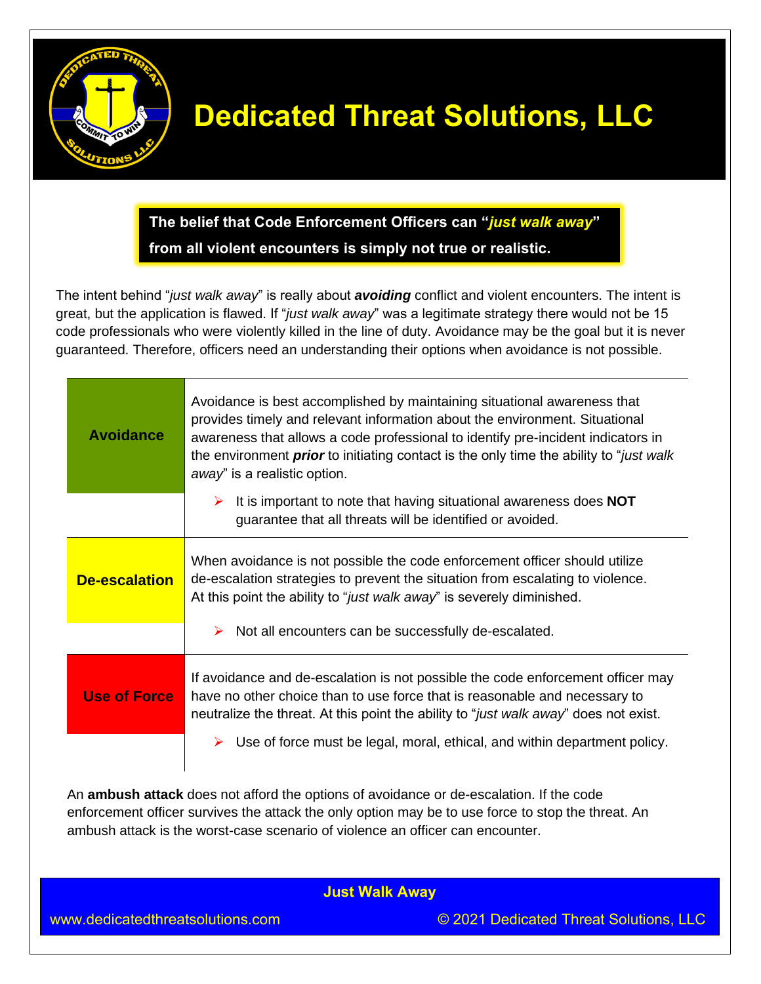

**The belief that Code Enforcement Officers can "***just walk away***" from all violent encounters is simply not true or realistic.** 

The intent behind "*just walk away*" is really about *avoiding* conflict and violent encounters. The intent is great, but the application is flawed. If "*just walk away*" was a legitimate strategy there would not be 15 code professionals who were violently killed in the line of duty. Avoidance may be the goal but it is never guaranteed. Therefore, officers need an understanding their options when avoidance is not possible.

| <b>Avoidance</b>     | Avoidance is best accomplished by maintaining situational awareness that<br>provides timely and relevant information about the environment. Situational<br>awareness that allows a code professional to identify pre-incident indicators in<br>the environment <i>prior</i> to initiating contact is the only time the ability to " <i>just walk</i><br>away" is a realistic option. |
|----------------------|--------------------------------------------------------------------------------------------------------------------------------------------------------------------------------------------------------------------------------------------------------------------------------------------------------------------------------------------------------------------------------------|
|                      | It is important to note that having situational awareness does NOT<br>➤<br>guarantee that all threats will be identified or avoided.                                                                                                                                                                                                                                                 |
| <b>De-escalation</b> | When avoidance is not possible the code enforcement officer should utilize<br>de-escalation strategies to prevent the situation from escalating to violence.<br>At this point the ability to "just walk away" is severely diminished.                                                                                                                                                |
|                      | Not all encounters can be successfully de-escalated.<br>➤                                                                                                                                                                                                                                                                                                                            |
| <b>Use of Force</b>  | If avoidance and de-escalation is not possible the code enforcement officer may<br>have no other choice than to use force that is reasonable and necessary to<br>neutralize the threat. At this point the ability to "just walk away" does not exist.                                                                                                                                |
|                      | Use of force must be legal, moral, ethical, and within department policy.                                                                                                                                                                                                                                                                                                            |

An **ambush attack** does not afford the options of avoidance or de-escalation. If the code enforcement officer survives the attack the only option may be to use force to stop the threat. An ambush attack is the worst-case scenario of violence an officer can encounter.

**Just Walk Away**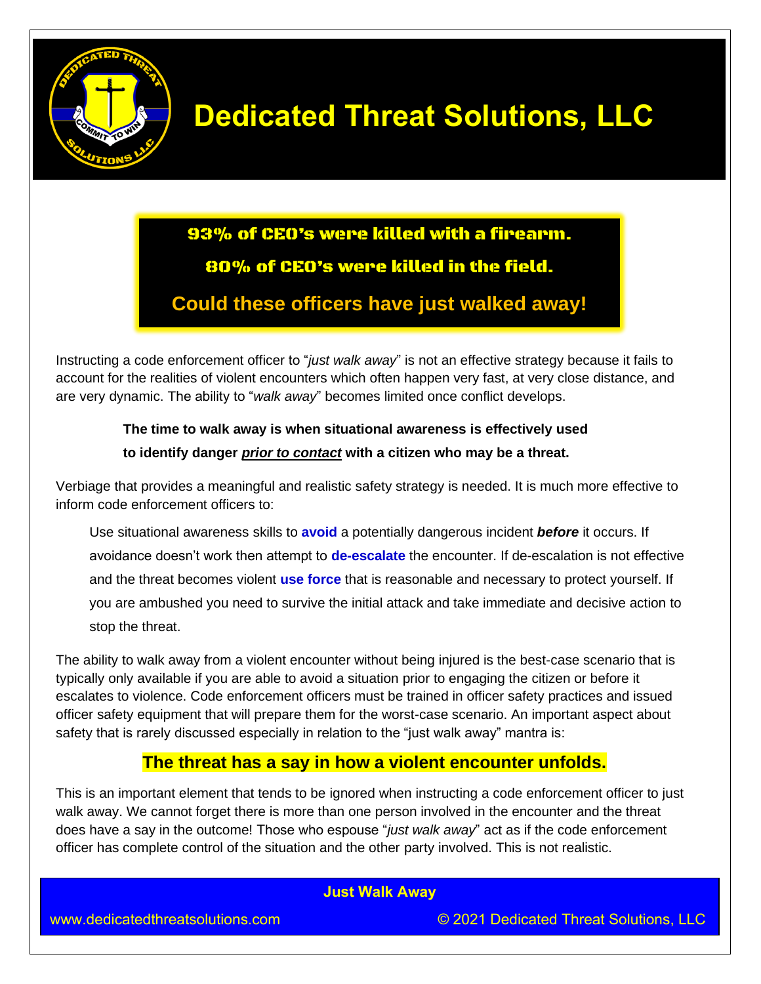

## 93% of CEO's were killed with a firearm. 80% of CEO's were killed in the field.

## **Could these officers have just walked away!**

Instructing a code enforcement officer to "*just walk away*" is not an effective strategy because it fails to account for the realities of violent encounters which often happen very fast, at very close distance, and are very dynamic. The ability to "*walk away*" becomes limited once conflict develops.

## **The time to walk away is when situational awareness is effectively used to identify danger** *prior to contact* **with a citizen who may be a threat.**

Verbiage that provides a meaningful and realistic safety strategy is needed. It is much more effective to inform code enforcement officers to:

Use situational awareness skills to **avoid** a potentially dangerous incident *before* it occurs. If avoidance doesn't work then attempt to **de-escalate** the encounter. If de-escalation is not effective and the threat becomes violent **use force** that is reasonable and necessary to protect yourself. If you are ambushed you need to survive the initial attack and take immediate and decisive action to stop the threat.

The ability to walk away from a violent encounter without being injured is the best-case scenario that is typically only available if you are able to avoid a situation prior to engaging the citizen or before it escalates to violence. Code enforcement officers must be trained in officer safety practices and issued officer safety equipment that will prepare them for the worst-case scenario. An important aspect about safety that is rarely discussed especially in relation to the "just walk away" mantra is:

## **The threat has a say in how a violent encounter unfolds.**

This is an important element that tends to be ignored when instructing a code enforcement officer to just walk away. We cannot forget there is more than one person involved in the encounter and the threat does have a say in the outcome! Those who espouse "*just walk away*" act as if the code enforcement officer has complete control of the situation and the other party involved. This is not realistic.

### **Just Walk Away**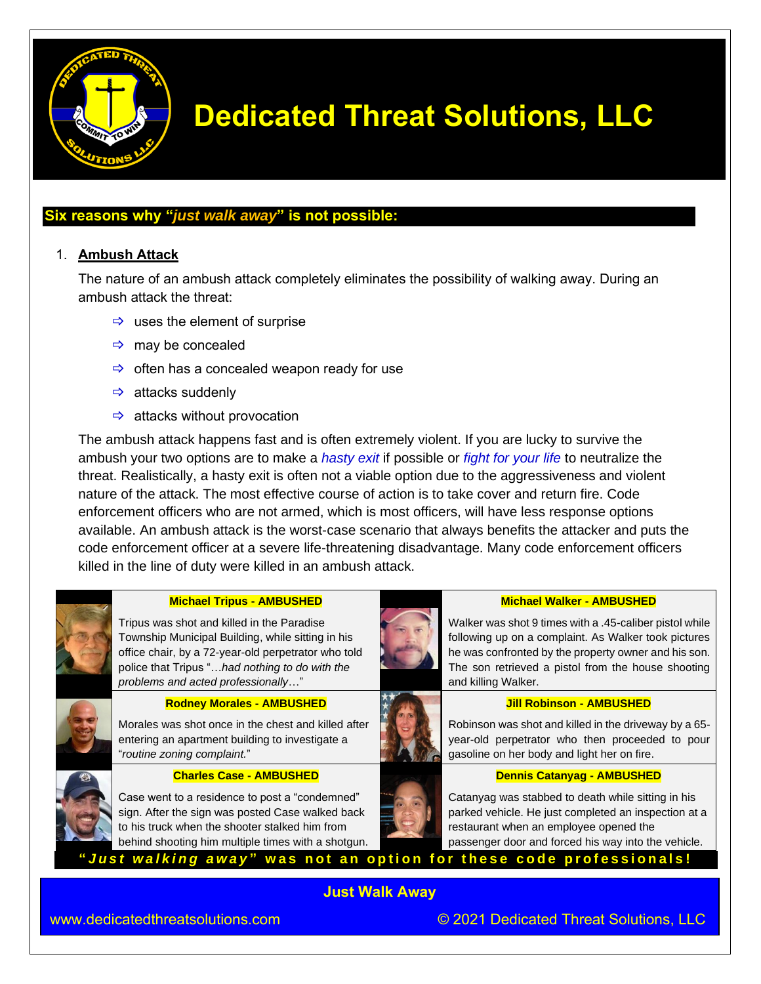

### **Six reasons why "***just walk away***" is not possible:**

### 1. **Ambush Attack**

The nature of an ambush attack completely eliminates the possibility of walking away. During an ambush attack the threat:

- $\Rightarrow$  uses the element of surprise
- $\Rightarrow$  may be concealed
- $\Rightarrow$  often has a concealed weapon ready for use
- $\Rightarrow$  attacks suddenly
- $\Rightarrow$  attacks without provocation

The ambush attack happens fast and is often extremely violent. If you are lucky to survive the ambush your two options are to make a *hasty exit* if possible or *fight for your life* to neutralize the threat. Realistically, a hasty exit is often not a viable option due to the aggressiveness and violent nature of the attack. The most effective course of action is to take cover and return fire. Code enforcement officers who are not armed, which is most officers, will have less response options available. An ambush attack is the worst-case scenario that always benefits the attacker and puts the code enforcement officer at a severe life-threatening disadvantage. Many code enforcement officers killed in the line of duty were killed in an ambush attack.



### **Michael Tripus - AMBUSHED**

Tripus was shot and killed in the Paradise Township Municipal Building, while sitting in his office chair, by a 72-year-old perpetrator who told police that Tripus "…*had nothing to do with the problems and acted professionally*…"



### **Rodney Morales - AMBUSHED**

Morales was shot once in the chest and killed after entering an apartment building to investigate a "*routine zoning complaint.*"



### **Charles Case - AMBUSHED**

Case went to a residence to post a "condemned" sign. After the sign was posted Case walked back to his truck when the shooter stalked him from behind shooting him multiple times with a shotgun.



### **Michael Walker - AMBUSHED**

Walker was shot 9 times with a .45-caliber pistol while following up on a complaint. As Walker took pictures he was confronted by the property owner and his son. The son retrieved a pistol from the house shooting and killing Walker.

### **Jill Robinson - AMBUSHED**



### **Dennis Catanyag - AMBUSHED**

Catanyag was stabbed to death while sitting in his parked vehicle. He just completed an inspection at a restaurant when an employee opened the passenger door and forced his way into the vehicle.

"Just walking away" was not an option for these code professionals!

**Just Walk Away**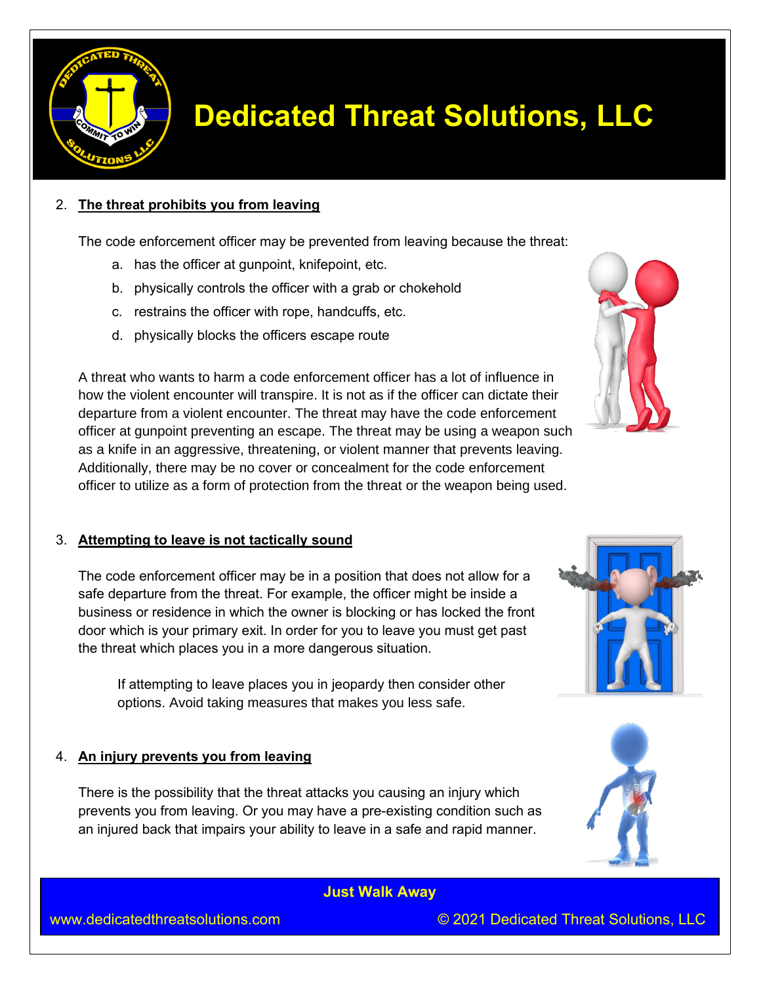

### 2. **The threat prohibits you from leaving**

The code enforcement officer may be prevented from leaving because the threat:

- a. has the officer at gunpoint, knifepoint, etc.
- b. physically controls the officer with a grab or chokehold
- c. restrains the officer with rope, handcuffs, etc.
- d. physically blocks the officers escape route

A threat who wants to harm a code enforcement officer has a lot of influence in how the violent encounter will transpire. It is not as if the officer can dictate their departure from a violent encounter. The threat may have the code enforcement officer at gunpoint preventing an escape. The threat may be using a weapon such as a knife in an aggressive, threatening, or violent manner that prevents leaving. Additionally, there may be no cover or concealment for the code enforcement officer to utilize as a form of protection from the threat or the weapon being used.

### 3. **Attempting to leave is not tactically sound**

The code enforcement officer may be in a position that does not allow for a safe departure from the threat. For example, the officer might be inside a business or residence in which the owner is blocking or has locked the front door which is your primary exit. In order for you to leave you must get past the threat which places you in a more dangerous situation.

If attempting to leave places you in jeopardy then consider other options. Avoid taking measures that makes you less safe.

### 4. **An injury prevents you from leaving**

There is the possibility that the threat attacks you causing an injury which prevents you from leaving. Or you may have a pre-existing condition such as an injured back that impairs your ability to leave in a safe and rapid manner.

**Just Walk Away**

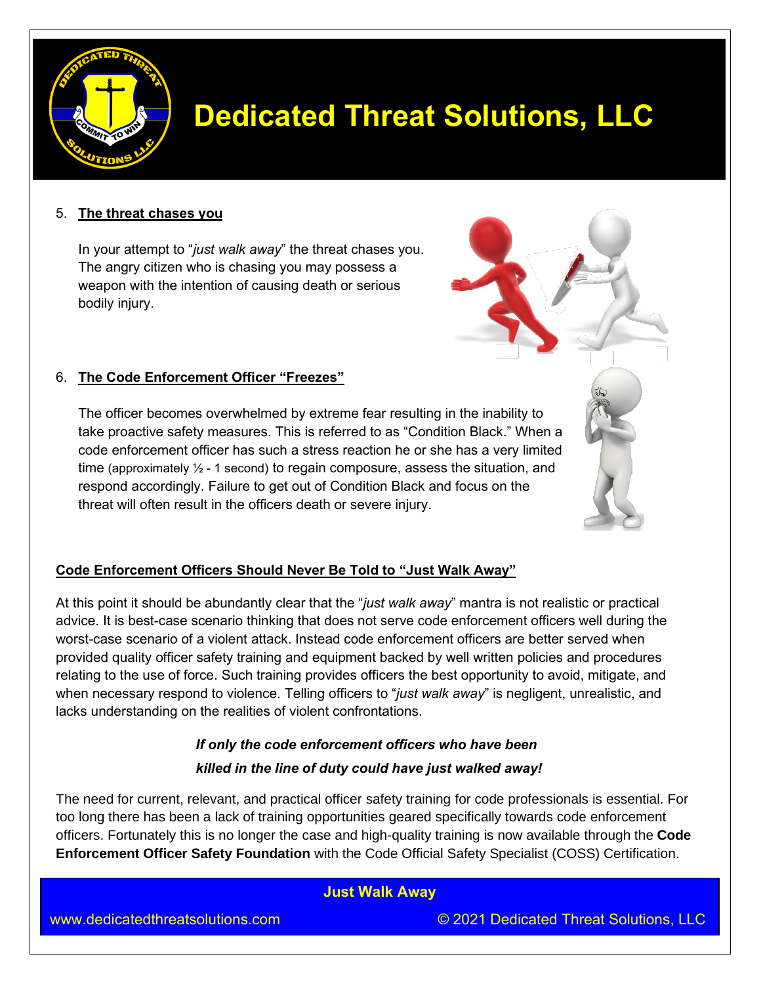

### 5. **The threat chases you**

In your attempt to "*just walk away*" the threat chases you. The angry citizen who is chasing you may possess a weapon with the intention of causing death or serious bodily injury.



### 6. **The Code Enforcement Officer "Freezes"**

The officer becomes overwhelmed by extreme fear resulting in the inability to take proactive safety measures. This is referred to as "Condition Black." When a code enforcement officer has such a stress reaction he or she has a very limited time (approximately  $\frac{1}{2}$  - 1 second) to regain composure, assess the situation, and respond accordingly. Failure to get out of Condition Black and focus on the threat will often result in the officers death or severe injury.



### **Code Enforcement Officers Should Never Be Told to "Just Walk Away"**

At this point it should be abundantly clear that the "*just walk away*" mantra is not realistic or practical advice. It is best-case scenario thinking that does not serve code enforcement officers well during the worst-case scenario of a violent attack. Instead code enforcement officers are better served when provided quality officer safety training and equipment backed by well written policies and procedures relating to the use of force. Such training provides officers the best opportunity to avoid, mitigate, and when necessary respond to violence. Telling officers to "*just walk away*" is negligent, unrealistic, and lacks understanding on the realities of violent confrontations.

## *If only the code enforcement officers who have been killed in the line of duty could have just walked away!*

The need for current, relevant, and practical officer safety training for code professionals is essential. For too long there has been a lack of training opportunities geared specifically towards code enforcement officers. Fortunately this is no longer the case and high-quality training is now available through the **Code Enforcement Officer Safety Foundation** with the Code Official Safety Specialist (COSS) Certification.

### **Just Walk Away**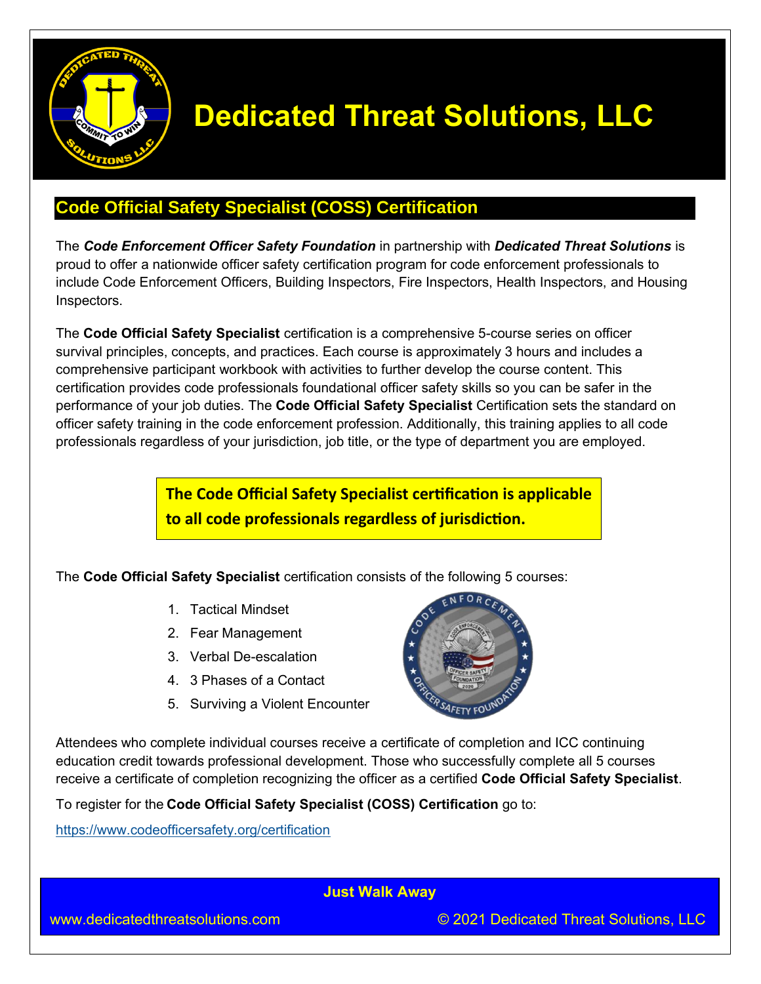

## **Code Official Safety Specialist (COSS) Certification**

The *Code Enforcement Officer Safety Foundation* in partnership with *Dedicated Threat Solutions* is proud to offer a nationwide officer safety certification program for code enforcement professionals to include Code Enforcement Officers, Building Inspectors, Fire Inspectors, Health Inspectors, and Housing Inspectors.

The **Code Official Safety Specialist** certification is a comprehensive 5-course series on officer survival principles, concepts, and practices. Each course is approximately 3 hours and includes a comprehensive participant workbook with activities to further develop the course content. This certification provides code professionals foundational officer safety skills so you can be safer in the performance of your job duties. The **Code Official Safety Specialist** Certification sets the standard on officer safety training in the code enforcement profession. Additionally, this training applies to all code professionals regardless of your jurisdiction, job title, or the type of department you are employed.

> **The Code Official Safety Specialist certification is applicable to all code professionals regardless of jurisdiction.**

The **Code Official Safety Specialist** certification consists of the following 5 courses:

- 1. Tactical Mindset
- 2. Fear Management
- 3. Verbal De-escalation
- 4. 3 Phases of a Contact
- 5. Surviving a Violent Encounter



Attendees who complete individual courses receive a certificate of completion and ICC continuing education credit towards professional development. Those who successfully complete all 5 courses receive a certificate of completion recognizing the officer as a certified **Code Official Safety Specialist**.

To register for the **Code Official Safety Specialist (COSS) Certification** go to:

<https://www.codeofficersafety.org/certification>

**Just Walk Away**